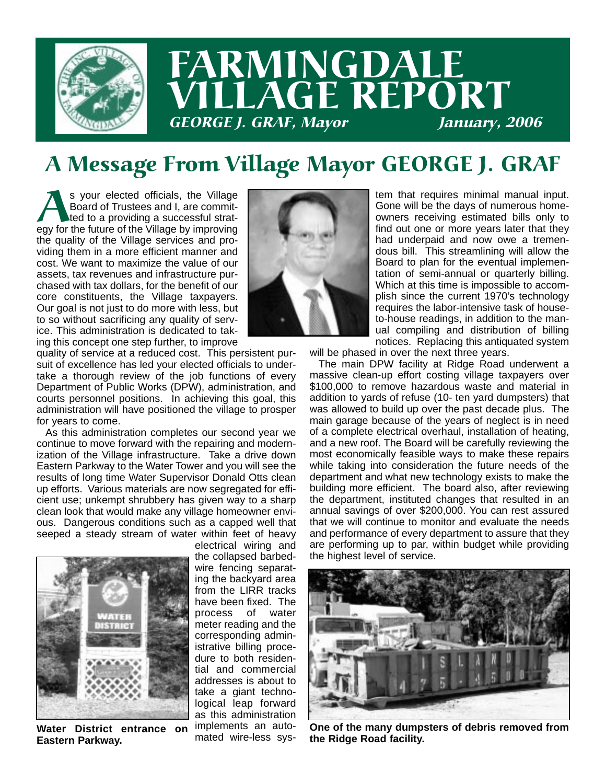

## FARMINGDALE LLAGE REPORT **GEORGE J. GRAF, Mayor**

### A Message From Village Mayor GEORGE J. GRAF

s your elected officials, the Village<br>Board of Trustees and I, are commit-<br>ted to a providing a successful strat-<br>egy for the future of the Village by improving Board of Trustees and I, are committed to a providing a successful stratthe quality of the Village services and providing them in a more efficient manner and cost. We want to maximize the value of our assets, tax revenues and infrastructure purchased with tax dollars, for the benefit of our core constituents, the Village taxpayers. Our goal is not just to do more with less, but to so without sacrificing any quality of service. This administration is dedicated to taking this concept one step further, to improve



quality of service at a reduced cost. This persistent pursuit of excellence has led your elected officials to undertake a thorough review of the job functions of every Department of Public Works (DPW), administration, and courts personnel positions. In achieving this goal, this administration will have positioned the village to prosper for years to come.

As this administration completes our second year we continue to move forward with the repairing and modernization of the Village infrastructure. Take a drive down Eastern Parkway to the Water Tower and you will see the results of long time Water Supervisor Donald Otts clean up efforts. Various materials are now segregated for efficient use; unkempt shrubbery has given way to a sharp clean look that would make any village homeowner envious. Dangerous conditions such as a capped well that seeped a steady stream of water within feet of heavy



**Water District entrance on Eastern Parkway.**

electrical wiring and the collapsed barbedwire fencing separating the backyard area from the LIRR tracks have been fixed. The process of water meter reading and the corresponding administrative billing procedure to both residential and commercial addresses is about to take a giant technological leap forward as this administration implements an automated wire-less system that requires minimal manual input. Gone will be the days of numerous homeowners receiving estimated bills only to find out one or more years later that they had underpaid and now owe a tremendous bill. This streamlining will allow the Board to plan for the eventual implementation of semi-annual or quarterly billing. Which at this time is impossible to accomplish since the current 1970's technology requires the labor-intensive task of houseto-house readings, in addition to the manual compiling and distribution of billing notices. Replacing this antiquated system

will be phased in over the next three years.

The main DPW facility at Ridge Road underwent a massive clean-up effort costing village taxpayers over \$100,000 to remove hazardous waste and material in addition to yards of refuse (10- ten yard dumpsters) that was allowed to build up over the past decade plus. The main garage because of the years of neglect is in need of a complete electrical overhaul, installation of heating, and a new roof. The Board will be carefully reviewing the most economically feasible ways to make these repairs while taking into consideration the future needs of the department and what new technology exists to make the building more efficient. The board also, after reviewing the department, instituted changes that resulted in an annual savings of over \$200,000. You can rest assured that we will continue to monitor and evaluate the needs and performance of every department to assure that they are performing up to par, within budget while providing the highest level of service.



**One of the many dumpsters of debris removed from the Ridge Road facility.**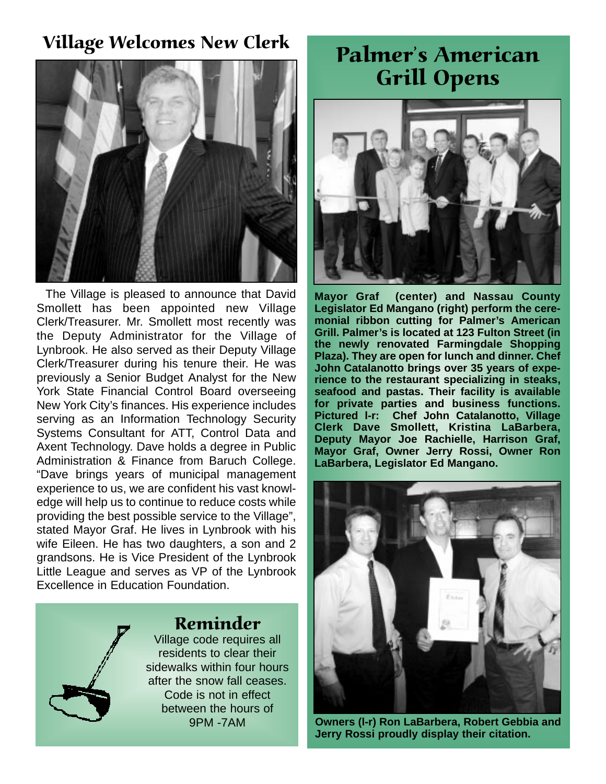## Village Welcomes New Clerk<br>
Palmer's American



The Village is pleased to announce that David Smollett has been appointed new Village Clerk/Treasurer. Mr. Smollett most recently was the Deputy Administrator for the Village of Lynbrook. He also served as their Deputy Village Clerk/Treasurer during his tenure their. He was previously a Senior Budget Analyst for the New York State Financial Control Board overseeing New York City's finances. His experience includes serving as an Information Technology Security Systems Consultant for ATT, Control Data and Axent Technology. Dave holds a degree in Public Administration & Finance from Baruch College. "Dave brings years of municipal management experience to us, we are confident his vast knowledge will help us to continue to reduce costs while providing the best possible service to the Village", stated Mayor Graf. He lives in Lynbrook with his wife Eileen. He has two daughters, a son and 2 grandsons. He is Vice President of the Lynbrook Little League and serves as VP of the Lynbrook Excellence in Education Foundation.

#### Reminder

Village code requires all residents to clear their sidewalks within four hours after the snow fall ceases. Code is not in effect between the hours of 9PM -7AM

# Grill Opens



**Mayor Graf (center) and Nassau County Legislator Ed Mangano (right) perform the ceremonial ribbon cutting for Palmer's American Grill. Palmer's is located at 123 Fulton Street (in the newly renovated Farmingdale Shopping Plaza). They are open for lunch and dinner. Chef John Catalanotto brings over 35 years of experience to the restaurant specializing in steaks, seafood and pastas. Their facility is available for private parties and business functions. Pictured l-r: Chef John Catalanotto, Village Clerk Dave Smollett, Kristina LaBarbera, Deputy Mayor Joe Rachielle, Harrison Graf, Mayor Graf, Owner Jerry Rossi, Owner Ron LaBarbera, Legislator Ed Mangano.** 



**Owners (l-r) Ron LaBarbera, Robert Gebbia and Jerry Rossi proudly display their citation.**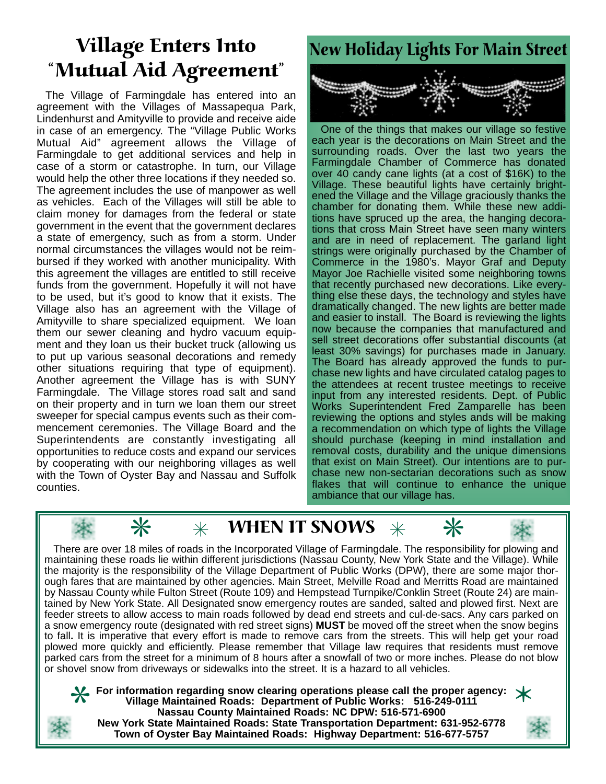# Mutual Aid Agreement

The Village of Farmingdale has entered into an agreement with the Villages of Massapequa Park, Lindenhurst and Amityville to provide and receive aide in case of an emergency. The "Village Public Works Mutual Aid" agreement allows the Village of Farmingdale to get additional services and help in case of a storm or catastrophe. In turn, our Village would help the other three locations if they needed so. The agreement includes the use of manpower as well as vehicles. Each of the Villages will still be able to claim money for damages from the federal or state government in the event that the government declares a state of emergency, such as from a storm. Under normal circumstances the villages would not be reimbursed if they worked with another municipality. With this agreement the villages are entitled to still receive funds from the government. Hopefully it will not have to be used, but it's good to know that it exists. The Village also has an agreement with the Village of Amityville to share specialized equipment. We loan them our sewer cleaning and hydro vacuum equipment and they loan us their bucket truck (allowing us to put up various seasonal decorations and remedy other situations requiring that type of equipment). Another agreement the Village has is with SUNY Farmingdale. The Village stores road salt and sand on their property and in turn we loan them our street sweeper for special campus events such as their commencement ceremonies. The Village Board and the Superintendents are constantly investigating all opportunities to reduce costs and expand our services by cooperating with our neighboring villages as well with the Town of Oyster Bay and Nassau and Suffolk counties.



One of the things that makes our village so festive each year is the decorations on Main Street and the surrounding roads. Over the last two years the Farmingdale Chamber of Commerce has donated over 40 candy cane lights (at a cost of \$16K) to the Village. These beautiful lights have certainly brightened the Village and the Village graciously thanks the chamber for donating them. While these new additions have spruced up the area, the hanging decorations that cross Main Street have seen many winters and are in need of replacement. The garland light strings were originally purchased by the Chamber of Commerce in the 1980's. Mayor Graf and Deputy Mayor Joe Rachielle visited some neighboring towns that recently purchased new decorations. Like everything else these days, the technology and styles have dramatically changed. The new lights are better made and easier to install. The Board is reviewing the lights now because the companies that manufactured and sell street decorations offer substantial discounts (at least 30% savings) for purchases made in January. The Board has already approved the funds to purchase new lights and have circulated catalog pages to the attendees at recent trustee meetings to receive input from any interested residents. Dept. of Public Works Superintendent Fred Zamparelle has been reviewing the options and styles ands will be making a recommendation on which type of lights the Village should purchase (keeping in mind installation and removal costs, durability and the unique dimensions that exist on Main Street). Our intentions are to purchase new non-sectarian decorations such as snow flakes that will continue to enhance the unique ambiance that our village has.



 $\divideontimes$ 

**WHEN IT SNOWS**<br>ds in the Incorporated Village of Farming<br>in different jurisdictions (Nassau County<br>of the Village Department of Public Wo There are over 18 miles of roads in the Incorporated Village of Farmingdale. The responsibility for plowing and maintaining these roads lie within different jurisdictions (Nassau County, New York State and the Village). While There are over 18 miles of roads in the Incorporated Village of Farmingdale. The responsibility for plowing and maintaining these roads lie within different jurisdictions (Nassau County, New York State and the Village). W ough fares that are maintained by other agencies. Main Street, Melville Road and Merritts Road are maintained by Nassau County while Fulton Street (Route 109) and Hempstead Turnpike/Conklin Street (Route 24) are maintained by New York State. All Designated snow emergency routes are sanded, salted and plowed first. Next are feeder streets to allow access to main roads followed by dead end streets and cul-de-sacs. Any cars parked on a snow emergency route (designated with red street signs) **MUST** be moved off the street when the snow begins to fall**.** It is imperative that every effort is made to remove cars from the streets. This will help get your road plowed more quickly and efficiently. Please remember that Village law requires that residents must remove parked cars from the street for a minimum of 8 hours after a snowfall of two or more inches. Please do not blow or shovel snow from driveways or sidewalks into the street. It is a hazard to all vehicles.

**For information regarding snow clearing operations please call the proper agency:**<br>
Village Maintained Roads: Department of Public Works: 516-249-0111<br>
Nassau County Maintained Roads: NC DPW: 516-571-6900<br>
New York State **Village Maintained Roads: Department of Public Works: 516-249-0111 Nassau County Maintained Roads: NC DPW: 516-571-6900 New York State Maintained Roads: State Transportation Department: 631-952-6778**



**Town of Oyster Bay Maintained Roads: Highway Department: 516-677-5757**